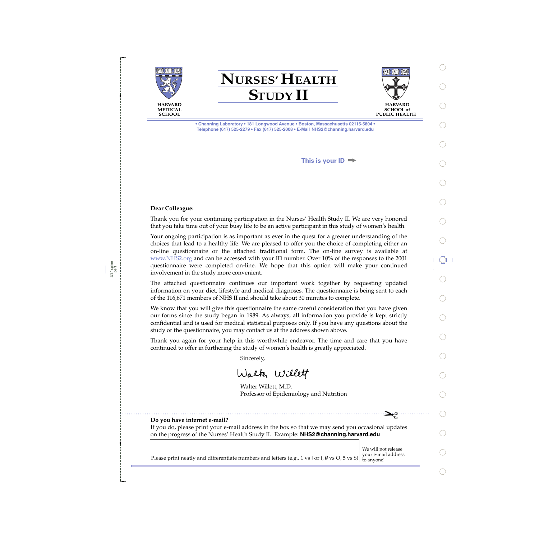

**NURSES' HEALTH STUDY II**



**SCHOOL of PUBLIC HEALTH** 

> ✁ $\mathbf{z}^{\circ}$

**• Channing Laboratory • 181 Longwood Avenue • Boston, Massachusetts 02115-5804 • Telephone (617) 525-2279 • Fax (617) 525-2008 • E-Mail NHS2@channing.harvard.edu**

**This is your ID**

## **Dear Colleague:**

3/8" spine perf Thank you for your continuing participation in the Nurses' Health Study II. We are very honored that you take time out of your busy life to be an active participant in this study of women's health.

Your ongoing participation is as important as ever in the quest for a greater understanding of the choices that lead to a healthy life. We are pleased to offer you the choice of completing either an on-line questionnaire or the attached traditional form. The on-line survey is available at www.NHS2.org and can be accessed with your ID number. Over 10% of the responses to the 2001 questionnaire were completed on-line. We hope that this option will make your continued involvement in the study more convenient.

The attached questionnaire continues our important work together by requesting updated information on your diet, lifestyle and medical diagnoses. The questionnaire is being sent to each of the 116,671 members of NHS II and should take about 30 minutes to complete.

We know that you will give this questionnaire the same careful consideration that you have given our forms since the study began in 1989. As always, all information you provide is kept strictly confidential and is used for medical statistical purposes only. If you have any questions about the study or the questionnaire, you may contact us at the address shown above.

Thank you again for your help in this worthwhile endeavor. The time and care that you have continued to offer in furthering the study of women's health is greatly appreciated.

Sincerely,

Walter Willett

Walter Willett, M.D. Professor of Epidemiology and Nutrition

### **Do you have internet e-mail?**

If you do, please print your e-mail address in the box so that we may send you occasional updates on the progress of the Nurses' Health Study II. Example: **NHS2@channing.harvard.edu**

We will not release<br>your e-mail address Please print neatly and differentiate numbers and letters (e.g., 1 vs l or i,  $\emptyset$  vs O, 5 vs S) to anyone!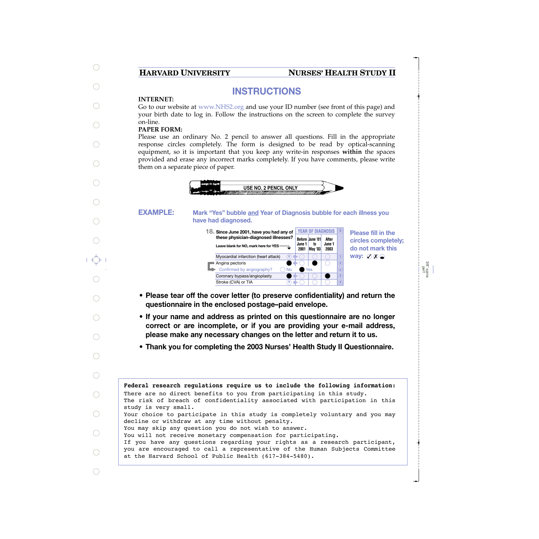# **HARVARD UNIVERSITY NURSES' HEALTH STUDY II**

# **INSTRUCTIONS**

## **INTERNET:**

Go to our website at www.NHS2.org and use your ID number (see front of this page) and your birth date to log in. Follow the instructions on the screen to complete the survey on-line.

## **PAPER FORM:**

Please use an ordinary No. 2 pencil to answer all questions. Fill in the appropriate response circles completely. The form is designed to be read by optical-scanning equipment, so it is important that you keep any write-in responses **within** the spaces provided and erase any incorrect marks completely. If you have comments, please write them on a separate piece of paper.



#### **Mark "Yes" bubble and Year of Diagnosis bubble for each illness you have had diagnosed. EXAMPLE:**

**Before June '01 June 1 2001 May '03 to After June 1 2003 18. <sup>X</sup> Since June 2001, have you had any of these physician-diagnosed illnesses? Leave blank for NO, mark here for YES** YEAR OF DIAGNOSIS **X** Myocardial infarction (heart attack) ■ Angina pectoris Confirmed by angiography? Coronary bypass/angioplasty Stroke (CVA) or TIA No Yes  $\left(\overline{Y}\right)$ **Y**

**Please fill in the circles completely; do not mark this way:**  $\emptyset$   $\emptyset$   $\bigcirc$ 

3/8" spine perf

- **• Please tear off the cover letter (to preserve confidentiality) and return the questionnaire in the enclosed postage–paid envelope.**
- **• If your name and address as printed on this questionnaire are no longer correct or are incomplete, or if you are providing your e-mail address, please make any necessary changes on the letter and return it to us.**
- **• Thank you for completing the 2003 Nurses' Health Study II Questionnaire.**

**Federal research regulations require us to include the following information:** The risk of breach of confidentiality associated with participation in this study is very small. Your choice to participate in this study is completely voluntary and you may decline or withdraw at any time without penalty. You may skip any question you do not wish to answer. You will not receive monetary compensation for participating. If you have any questions regarding your rights as a research participant, you are encouraged to call a representative of the Human Subjects Committee at the Harvard School of Public Health (617-384-5480). There are no direct benefits to you from participating in this study.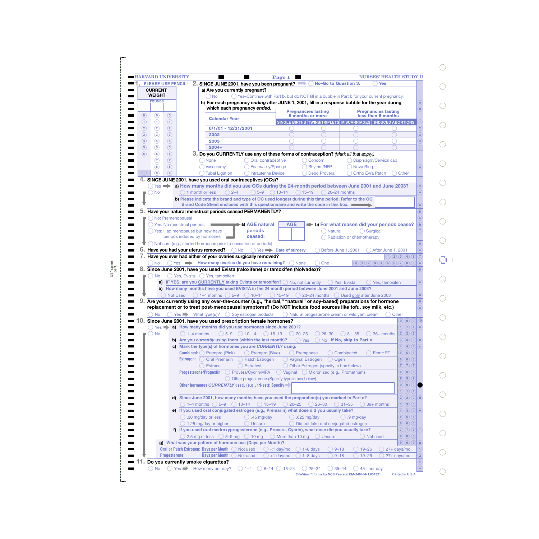| <b>CURRENT</b>                      |                                    |                                                                             |                                                                                                                                     | 2. SINCE JUNE 2001, have you been pregnant? |                                         |                                                               |                                |                                                                     |
|-------------------------------------|------------------------------------|-----------------------------------------------------------------------------|-------------------------------------------------------------------------------------------------------------------------------------|---------------------------------------------|-----------------------------------------|---------------------------------------------------------------|--------------------------------|---------------------------------------------------------------------|
| <b>WEIGHT</b>                       |                                    |                                                                             | a) Are you currently pregnant?                                                                                                      |                                             |                                         |                                                               |                                |                                                                     |
| <b>POUNDS</b>                       |                                    | ( ) No                                                                      | $\bigcirc$ Yes-Continue with Part b, but do NOT fill in a bubble in Part b for your current pregnancy.                              |                                             |                                         |                                                               |                                |                                                                     |
|                                     |                                    |                                                                             | b) For each pregnancy ending after JUNE 1, 2001, fill in a response bubble for the year during                                      |                                             |                                         |                                                               |                                |                                                                     |
|                                     |                                    |                                                                             | which each pregnancy ended.                                                                                                         |                                             | <b>Pregnancies lasting</b>              |                                                               | <b>Pregnancies lasting</b>     |                                                                     |
| $\circledcirc$<br>$^{\copyright}$   | $\left( 0\right)$                  | <b>Calendar Year</b>                                                        |                                                                                                                                     |                                             | <b>6 months or more</b>                 |                                                               | less than 6 months             |                                                                     |
| ⊕<br>$\odot$                        | (1)                                |                                                                             |                                                                                                                                     |                                             |                                         | SINGLE BIRTHS TWINS/TRIPLETS MISCARRIAGES   INDUCED ABORTIONS |                                |                                                                     |
| $\circled{2}$<br>$\circled{2}$      | $\circled{2}$                      | 6/1/01 - 12/31/2001                                                         |                                                                                                                                     |                                             |                                         |                                                               |                                |                                                                     |
| $\circled{3}$<br>$\circled{3}$      | $\circled{3}$                      | 2002                                                                        |                                                                                                                                     |                                             |                                         |                                                               |                                |                                                                     |
| $\circled{4}$<br>$\circled{4}$      | $\circled{4}$                      | 2003                                                                        |                                                                                                                                     |                                             |                                         |                                                               |                                |                                                                     |
| $\circled{5}$<br>$\circled{5}$      | (5)                                | $2004+$                                                                     |                                                                                                                                     |                                             |                                         |                                                               |                                |                                                                     |
| $\circledast$<br>(6)                | (6)                                |                                                                             | 3. Do you CURRENTLY use any of these forms of contraception? (Mark all that apply.)                                                 |                                             |                                         |                                                               |                                |                                                                     |
| $\left( 7\right)$                   | $\left( 7\right)$                  | ) None                                                                      | Oral contraceptive                                                                                                                  |                                             | Condom                                  |                                                               | Diaphragm/Cervical cap         |                                                                     |
| $\circledast$                       | (8)                                | Vasectomy                                                                   | Foam/Jelly/Sponge                                                                                                                   |                                             | Rhythm/NFP                              | ) Nuva Ring                                                   |                                |                                                                     |
| (၅)                                 | $\sqrt{9}$                         | Tubal Ligation                                                              | () Intrauterine Device                                                                                                              |                                             | Depo Provera                            | Ortho Evra Patch                                              | Other                          |                                                                     |
|                                     |                                    |                                                                             | SINCE JUNE 2001, have you used oral contraceptives (OCs)?                                                                           |                                             |                                         |                                                               |                                |                                                                     |
| $()$ Yes $\Rightarrow$              |                                    |                                                                             | a) How many months did you use OCs during the 24-month period between June 2001 and June 2003?                                      |                                             |                                         |                                                               |                                |                                                                     |
| <b>No</b>                           | ( ) 1 month or less                | $() 2 - 4$                                                                  | $\bigcirc$ 5–9 $\bigcirc$ 10–14                                                                                                     | $() 15 - 19$                                | $( ) 20 - 24$ months                    |                                                               |                                |                                                                     |
|                                     |                                    |                                                                             | b) Please indicate the brand and type of OC used longest during this time period. Refer to the OC                                   |                                             |                                         |                                                               |                                |                                                                     |
|                                     |                                    |                                                                             | Brand Code Sheet enclosed with this questionnaire and write the code in this box.                                                   |                                             |                                         |                                                               |                                |                                                                     |
|                                     |                                    |                                                                             | Have your natural menstrual periods ceased PERMANENTLY?                                                                             |                                             |                                         |                                                               |                                |                                                                     |
|                                     |                                    |                                                                             |                                                                                                                                     |                                             |                                         |                                                               |                                |                                                                     |
|                                     | ( ) No: Premenopausal              |                                                                             |                                                                                                                                     |                                             |                                         |                                                               |                                |                                                                     |
|                                     | Yes: No menstrual periods          |                                                                             | ▶a) AGE natural                                                                                                                     | <b>AGE</b>                                  |                                         | $\Rightarrow$ b) For what reason did your periods cease?      |                                |                                                                     |
|                                     | () Yes: Had menopause but now have |                                                                             | <b>periods</b>                                                                                                                      |                                             | Natural                                 | () Surgical                                                   |                                |                                                                     |
|                                     | periods induced by hormones        |                                                                             | ceased:                                                                                                                             |                                             |                                         | Radiation or chemotherapy                                     |                                |                                                                     |
|                                     |                                    |                                                                             | $\bigcirc$ Not sure (e.g., started hormones prior to cessation of periods)                                                          |                                             |                                         |                                                               |                                |                                                                     |
|                                     | Have you had your uterus removed?  |                                                                             | ) No                                                                                                                                | Yes Date of surgery:                        |                                         | Before June 1, 2001                                           | After June 1, 2001             |                                                                     |
|                                     |                                    |                                                                             | Have you ever had either of your ovaries surgically removed?                                                                        |                                             |                                         |                                                               | (1)(2)(3)(4)(5)                |                                                                     |
|                                     |                                    |                                                                             |                                                                                                                                     |                                             |                                         |                                                               |                                |                                                                     |
| <b>No</b>                           |                                    |                                                                             | Yes <b>Now many ovaries do you have remaining?</b>                                                                                  | ( ) None                                    | One                                     |                                                               | (0)(1)(2)(3)(4)(5)(6)(7)(8)(9) |                                                                     |
|                                     |                                    |                                                                             |                                                                                                                                     |                                             |                                         |                                                               |                                |                                                                     |
|                                     |                                    |                                                                             | Since June 2001, have you used Evista (raloxifene) or tamoxifen (Nolvadex)?                                                         |                                             |                                         |                                                               |                                |                                                                     |
| ) No                                |                                    | $\bigcirc$ Yes, Evista $\bigcirc$ Yes, tamoxifen                            |                                                                                                                                     |                                             |                                         |                                                               |                                |                                                                     |
|                                     |                                    |                                                                             | <b>a)</b> IF YES, are you CURRENTLY taking Evista or tamoxifen? $\bigcirc$ No, not currently                                        |                                             |                                         | () Yes, Evista                                                | () Yes, tamoxifen              |                                                                     |
|                                     |                                    |                                                                             | b) How many months have you used EVISTA in the 24 month period between June 2001 and June 2003?                                     |                                             |                                         |                                                               |                                |                                                                     |
|                                     | ◯ Not Used                         |                                                                             | $\bigcirc$ 1-4 months $\bigcirc$ 5-9 $\bigcirc$ 10-14 $\bigcirc$ 15-19 $\bigcirc$ 20-24 months $\bigcirc$ Used only after June 2003 |                                             |                                         |                                                               |                                |                                                                     |
|                                     |                                    |                                                                             | Are you currently using any over-the-counter (e.g., "herbal," "natural" or soy-based) preparations for hormone                      |                                             |                                         |                                                               |                                |                                                                     |
|                                     |                                    |                                                                             | replacement or to treat post-menopausal symptoms? (Do NOT include food sources like tofu, soy milk, etc.)                           |                                             |                                         |                                                               |                                |                                                                     |
| No                                  |                                    |                                                                             | $\bigcirc$ Yes $\longrightarrow$ What type(s)? $\bigcirc$ Soy estrogen products                                                     |                                             |                                         | ◯ Natural progesterone cream or wild yam cream                | Other                          |                                                                     |
|                                     |                                    |                                                                             | Since June 2001, have you used prescription female hormones?                                                                        |                                             |                                         |                                                               |                                | $\bigcirc$ $\bigcirc$ $\bigcirc$ $\bigcirc$ $\bigcirc$ $\bigcirc$   |
| $\bigcap$ Yes $\blacktriangleright$ |                                    |                                                                             | a) How many months did you use hormones since June 2001?                                                                            |                                             |                                         |                                                               |                                | $\left  \left( 1\right) \left( 1\right) \left( 0\right) \right $ (a |
| <b>No</b>                           | $\bigcirc$ 1–4 months              |                                                                             | $\bigcirc$ 5-9 $\bigcirc$ 10-14 $\bigcirc$ 15-19                                                                                    | $\bigcirc$ 20-25                            | $26 - 30$                               | $() 31 - 35$                                                  | $\bigcirc$ 36+ months          | 2) 2) 2                                                             |
|                                     |                                    |                                                                             | b) Are you currently using them (within the last month)?                                                                            | $\bigcirc$ Yes                              |                                         | No If No, skip to Part e.                                     |                                | $\boxed{3}$ $\boxed{3}$ $\boxed{3}$ $\boxed{b}$                     |
|                                     |                                    |                                                                             | c) Mark the type(s) of hormones you are CURRENTLY using:                                                                            |                                             |                                         |                                                               |                                | $\boxed{4}$ $\boxed{4}$ $\boxed{4}$                                 |
|                                     |                                    | <b>Combined:</b> $\bigcirc$ Prempro (Pink)                                  | ◯ Prempro (Blue)                                                                                                                    | $\bigcirc$ Premphase                        |                                         | Combipatch                                                    | D FemHRT                       | $5)$ $(5)$ $(5)$                                                    |
|                                     |                                    | <b>Estrogen:</b> $\bigcirc$ Oral Premarin                                   | Patch Estrogen                                                                                                                      | ◯ Vaginal Estrogen                          |                                         | Ogen                                                          |                                | 6)(6)(6)                                                            |
|                                     |                                    |                                                                             |                                                                                                                                     |                                             |                                         |                                                               |                                |                                                                     |
|                                     |                                    | <b>Estrace</b>                                                              | <b>Estratest</b>                                                                                                                    |                                             | Other Estrogen (specify in box below)   |                                                               |                                | $7)$ $(7)$ $(7)$                                                    |
|                                     |                                    |                                                                             | Progesterone/Progestin: O Provera/Cycrin/MPA O Vaginal O Micronized (e.g., Prometrium)                                              |                                             |                                         |                                                               |                                | $8)$ $(8)$ $(8)$                                                    |
|                                     |                                    |                                                                             | ◯ Other progesterone (Specify type in box below)                                                                                    |                                             |                                         |                                                               |                                | $9)$ $(9)$ $(9)$                                                    |
|                                     |                                    |                                                                             | Other hormones CURRENTLY used, (e.g., tri-est): Specify                                                                             |                                             |                                         |                                                               |                                | $\bigcirc$ $\bigcirc$ $\bigcirc$ $\bigcirc$                         |
|                                     |                                    |                                                                             |                                                                                                                                     |                                             |                                         |                                                               |                                | $\bigcap (1)$                                                       |
|                                     |                                    |                                                                             | d) Since June 2001, how many months have you used the preparation(s) you marked in Part c?                                          |                                             |                                         |                                                               |                                | $2)$ $(2)$ $(2)$                                                    |
|                                     |                                    |                                                                             | $\bigcirc$ 1–4 months $\bigcirc$ 5–9 $\bigcirc$ 10–14 $\bigcirc$ 15–19                                                              | $\bigcirc$ 20-25                            | $\bigcirc$ 26-30<br>$(\ )$              | $31 - 35$                                                     | $\binom{36+1}{2}$ months       | $3)$ $(3)$ $(3)$                                                    |
|                                     |                                    |                                                                             | e) If you used oral conjugated estrogen (e.g., Premarin) what dose did you usually take?                                            |                                             |                                         |                                                               |                                | $\boxed{4}$ $\boxed{4}$ $\boxed{4}$                                 |
|                                     |                                    | $\bigcirc$ .30 mg/day or less                                               | $\bigcirc$ .45 mg/day                                                                                                               | $\bigcirc$ .625 mg/day                      |                                         | $\bigcirc$ .9 mg/day                                          |                                | $\overline{5})$ $\overline{(5)}$ $\overline{(5)}$                   |
|                                     |                                    |                                                                             |                                                                                                                                     |                                             |                                         |                                                               |                                |                                                                     |
|                                     |                                    | $\bigcirc$ 1.25 mg/day or higher                                            | ◯ Unsure                                                                                                                            |                                             | ◯ Did not take oral conjugated estrogen |                                                               |                                | $6)$ $6)$ $6)$                                                      |
|                                     |                                    |                                                                             | f) If you used oral medroxyprogesterone (e.g., Provera, Cycrin), what dose did you usually take?                                    |                                             |                                         |                                                               |                                | 7(7)                                                                |
|                                     |                                    |                                                                             | $\bigcirc$ 2.5 mg or less $\bigcirc$ 5–9 mg $\bigcirc$ 10 mg $\bigcirc$ More than 10 mg $\bigcirc$ Unsure                           |                                             |                                         | ◯ Not used                                                    |                                | $8)$ $(8)$ $(8)$                                                    |
|                                     |                                    |                                                                             | g) What was your pattern of hormone use (Days per Month)?                                                                           |                                             |                                         |                                                               |                                | $\left( 9\right) \left( 9\right) \left( 9\right)$                   |
|                                     | Progesterone:                      | Oral or Patch Estrogen: Days per Month  O Not used<br><b>Days per Month</b> |                                                                                                                                     | $\bigcirc$ <1 day/mo.                       | $\bigcirc$ 1-8 days                     | $9 - 18$<br>$19 - 26$<br>$9 - 18$                             | $27+ days/mol$ .               |                                                                     |

 $\bigcirc$ 

 $\bigcirc$ 

 $\bigcirc$ 

 $\bigcirc$ 

 $\bigcirc$ 

 $\bigcirc$ 

 $\bigcirc$ 

 $\bigcirc$ 

 $\bigcirc$ 

 $\bigcirc$ 

 $\begin{picture}(20,5) \put(0,0){\line(1,0){10}} \put(15,0){\line(1,0){10}} \put(15,0){\line(1,0){10}} \put(15,0){\line(1,0){10}} \put(15,0){\line(1,0){10}} \put(15,0){\line(1,0){10}} \put(15,0){\line(1,0){10}} \put(15,0){\line(1,0){10}} \put(15,0){\line(1,0){10}} \put(15,0){\line(1,0){10}} \put(15,0){\line(1,0){10}} \put(15,0){\line(1,$ 

 $\bigcirc$ 

 $\bigcirc$ 

 $\bigcirc$ 

 $\bigcirc$ 

 $\bigcirc$ 

 $\bigcirc$ 

 $\bigcirc$ 

 $\bigcirc$ 

 $\bigcirc$ 

 $\bigcirc$ 

 $\bigcirc$ 

3/8" spine perf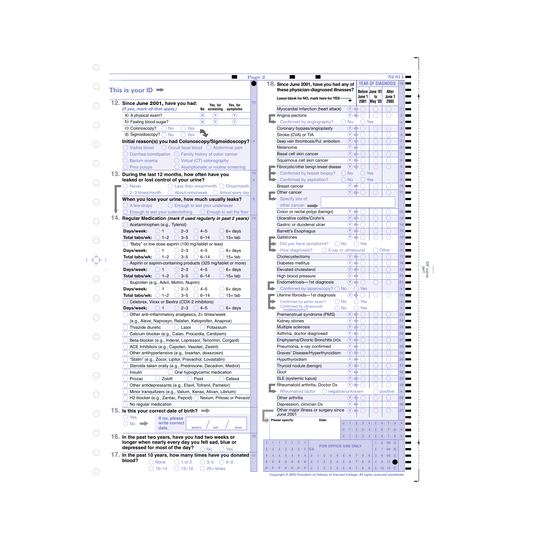| This is your <b>ID</b>                                                                                                      |              |
|-----------------------------------------------------------------------------------------------------------------------------|--------------|
| 12. Since June 2001, have you had:<br>Yes, for<br>Yes, for<br>(If yes, mark all that apply.)<br>screening<br>No<br>symptoms | 12           |
| a) A physical exam?<br>$(\mathsf{N})$<br>Y                                                                                  |              |
| b) Fasting blood sugar?<br>(N)<br>Y.<br>Y.                                                                                  |              |
| c) Colonoscopy?<br><b>No</b><br>Yes                                                                                         |              |
| d) Sigmoidoscopy?<br><b>No</b><br>Yes                                                                                       |              |
| Initial reason(s) you had Colonoscopy/Sigmoidoscopy?                                                                        | $\mathbf{a}$ |
| ◯ Occult fecal blood ◯ Abdominal pain<br>Visible blood                                                                      |              |
| Diarrhea/constipation <a> <a> C<br/> Family history of colon cancer</a></a>                                                 |              |
| Virtual (CT) colonography<br>Barium enema                                                                                   |              |
| Asymptomatic or routine screening<br><b>Prior polyps</b>                                                                    |              |
| 13. During the last 12 months, how often have you                                                                           | 13           |
| leaked or lost control of your urine?                                                                                       | a            |
| <b>Never</b><br>Less than once/month () Once/month                                                                          |              |
| 2-3 times/month<br>About once/week<br>Almost every day                                                                      |              |
| When you lose your urine, how much usually leaks?                                                                           | $\mathbf b$  |
| A few drops<br>$\bigcirc$ Enough to wet your underwear                                                                      |              |
| Enough to wet your outerclothing $\bigcirc$ Enough to wet the floor                                                         |              |
| Regular Medication (mark if used regularly in past 2 years)                                                                 | 14           |
| Acetaminophen (e.g., Tylenol)                                                                                               |              |
| Days/week:<br>$2 - 3$<br>4–5<br>$6+$ days                                                                                   |              |
| Total tabs/wk:<br>$1 - 2$<br>$3 - 5$<br>$6 - 14$<br>$15+$ tab                                                               |              |
| "Baby" or low dose aspirin (100 mg/tablet or less)                                                                          |              |
| Days/week:<br>$2 - 3$<br>$4 - 5$<br>1<br>$6+$ days                                                                          |              |
| Total tabs/wk:<br>$1 - 2$<br>$3 - 5$<br>$6 - 14$<br>$15+$ tab                                                               |              |
| Aspirin or aspirin-containing products (325 mg/tablet or more)                                                              |              |
| Days/week:<br>$2 - 3$<br>$4 - 5$<br>$6+$ days<br>1                                                                          |              |
| Total tabs/wk:<br>$1 - 2$<br>$3 - 5$<br>$6 - 14$<br>$15+$ tab                                                               |              |
| Ibuprofen (e.g., Advil, Motrin, Nuprin)                                                                                     |              |
| Days/week:<br>$2 - 3$<br>$4 - 5$<br>6+ days<br>1                                                                            |              |
| Total tabs/wk:<br>$3 - 5$<br>$15+$ tab<br>$1 - 2$<br>$6 - 14$                                                               |              |
| Celebrex, Vioxx or Bextra (COX-2 inhibitors)                                                                                |              |
| $\bigcirc$ 1 $\bigcirc$ 2–3<br>$\bigcirc$ 4–5<br>Days/week:<br>6+ days                                                      |              |
| Other anti-inflammatory analgesics, 2+ times/week                                                                           |              |
| (e.g., Aleve, Naprosyn, Relafen, Ketoprofen, Anaprox)                                                                       |              |
| Thiazide diuretic<br>Lasix<br>Potassium                                                                                     |              |
| Calcium blocker (e.g., Calan, Procardia, Cardizem)                                                                          |              |
| Beta-blocker (e.g., Inderal, Lopressor, Tenormin, Corgard)                                                                  |              |
| ACE Inhibitors (e.g., Capoten, Vasotec, Zestril)                                                                            |              |
| Other antihypertensive (e.g., losartan, doxazosin)<br>"Statin" (e.g., Zocor, Lipitor, Pravachol, Lovastatin)                |              |
| Steroids taken orally (e.g., Prednisone, Decadron, Medrol)                                                                  |              |
| Insulin<br>Oral hypoglycemic medication                                                                                     |              |
| Zoloft<br>Prozac<br>Paxil<br>Celexa                                                                                         |              |
| Other antidepressants (e.g., Elavil, Tofranil, Pamelor)                                                                     |              |
| Minor tranquilizers (e.g., Valium, Xanax, Ativan, Librium)                                                                  |              |
| H2 blocker (e.g., Zantac, Pepcid) Nexium, Prilosec or Prevacid                                                              |              |
| No regular medication                                                                                                       |              |
| 15. Is this your correct date of birth?                                                                                     |              |
| Yes                                                                                                                         |              |
| If no, please<br>write correct<br>No                                                                                        |              |
| <b>MONTH</b><br>date.<br>DAY                                                                                                | <b>YEAR</b>  |
| 16. In the past two years, have you had two weeks or                                                                        | 16           |
| longer when nearly every day you felt sad, blue or                                                                          |              |
| depressed for most of the day?<br><b>No</b><br>Yes                                                                          |              |
| 17. In the past 10 years, how many times have you donated 17                                                                |              |
|                                                                                                                             |              |

|                                                                                  |                                                                       |        | <b>YEAR OF DIAGNOSIS</b>     | NZ V3                          | 18              |
|----------------------------------------------------------------------------------|-----------------------------------------------------------------------|--------|------------------------------|--------------------------------|-----------------|
| 18. Since June 2001, have you had any of<br>these physician-diagnosed illnesses? |                                                                       | June 1 | <b>Before June '01</b><br>to | After<br>June 1                |                 |
| Leave blank for NO, mark here for YES                                            |                                                                       | 2001   | May '03                      | 2003                           |                 |
| Myocardial infarction (heart attack)                                             | Y)                                                                    |        |                              |                                | 1               |
| Angina pectoris                                                                  | Υ                                                                     |        |                              |                                | $\overline{2}$  |
| Confirmed by angiography?                                                        | No                                                                    |        | Yes                          |                                | a               |
| Coronary bypass/angioplasty                                                      | (Y                                                                    |        |                              |                                | 3               |
| Stroke (CVA) or TIA                                                              | (Y                                                                    |        |                              |                                | 4               |
| Deep vein thrombosis/Pul. embolism                                               | $(\mathsf{Y}% _{T}^{\ast}\mathsf{Y})=\mathsf{Y}_{T}^{\ast}\mathsf{Y}$ |        |                              |                                | 5               |
| Melanoma                                                                         | (Y                                                                    |        |                              |                                | 6               |
| Basal cell skin cancer                                                           | $(\mathsf{Y}% _{T}^{\ast}\mathsf{Y})=\mathsf{Y}_{T}^{\ast}\mathsf{Y}$ |        |                              |                                | 7               |
| Squamous cell skin cancer                                                        | (Y                                                                    |        |                              |                                | 8               |
| Fibrocystic/other benign breast disease                                          | ΩY.                                                                   |        |                              |                                | 9               |
|                                                                                  | No                                                                    |        |                              |                                |                 |
| Confirmed by breast biopsy?                                                      |                                                                       |        | Yes                          |                                | a               |
| Confirmed by aspiration?                                                         | No                                                                    |        | Yes                          |                                | $\mathbf b$     |
| Breast cancer                                                                    |                                                                       |        |                              |                                | 10              |
| Other cancer                                                                     | Υ                                                                     |        |                              |                                | 11              |
| Specify site of                                                                  |                                                                       |        |                              |                                |                 |
| other cancer:                                                                    |                                                                       |        |                              |                                |                 |
| Colon or rectal polyp (benign)                                                   | Y                                                                     |        |                              |                                | 12              |
| Ulcerative colitis/Crohn's                                                       | Y)                                                                    |        |                              |                                | 13              |
| Gastric or duodenal ulcer                                                        | (Y                                                                    |        |                              |                                | 14              |
| Barrett's Esophagus                                                              | <u>Y</u>                                                              |        |                              |                                | 15              |
| ∪ Gallstones                                                                     | Υ                                                                     |        |                              |                                | 16              |
| Did you have symptoms?<br>No                                                     |                                                                       | Yes    |                              |                                | a               |
| How diagnosed?<br>X-ray or ultrasound                                            |                                                                       |        |                              | Other                          | $\mathbf b$     |
|                                                                                  |                                                                       |        |                              |                                |                 |
| Cholecystectomy                                                                  | Υ                                                                     |        |                              |                                | 17              |
| Diabetes mellitus                                                                | Υ                                                                     |        |                              |                                | 18              |
| Elevated cholesterol                                                             | (Y                                                                    |        |                              |                                | 19              |
| High blood pressure                                                              | Υ                                                                     |        |                              |                                | 20 <sub>2</sub> |
| Endometriosis-1st diagnosis                                                      |                                                                       |        |                              |                                | 21              |
| Confirmed by laparoscopy?<br><b>No</b>                                           |                                                                       | Yes    |                              |                                | a               |
| Uterine fibroids-1st diagnosis                                                   |                                                                       |        |                              |                                | 22              |
| Confirmed by pelvic exam?<br>No                                                  |                                                                       | Yes    |                              |                                | a               |
| Confirmed by ultrasound/<br>No<br>hysterectomy?                                  |                                                                       | Yes    |                              |                                | b               |
| Premenstrual syndrome (PMS)                                                      | Υ                                                                     |        |                              |                                | 23              |
| Kidney stones                                                                    | Υ                                                                     |        |                              |                                | 24              |
| Multiple sclerosis                                                               | $(\lambda)$ i                                                         |        |                              |                                | 25              |
| Asthma, doctor diagnosed                                                         | $(\mathsf{Y})$                                                        |        |                              |                                | 26              |
|                                                                                  | $(\mathsf{Y})$                                                        |        |                              |                                |                 |
| Emphysema/Chronic Bronchitis DrDx                                                |                                                                       |        |                              |                                | 27              |
| Pneumonia, x-ray confirmed                                                       | $(\mathsf{Y})$                                                        |        |                              |                                | 28              |
| Graves' Disease/Hyperthyroidism                                                  | $(\mathsf{Y})$                                                        |        |                              |                                | 29              |
| Hypothyroidism                                                                   | (Y                                                                    |        |                              |                                | 30              |
| Thyroid nodule (benign)                                                          | $(\mathsf{Y})$                                                        |        |                              |                                | 31              |
| Gout                                                                             | (Y                                                                    |        |                              |                                | 32 <sup>2</sup> |
| SLE (systemic lupus)                                                             | $(\mathsf{Y})$ I                                                      |        |                              |                                | 33              |
| Rheumatoid arthritis, Doctor Dx                                                  | (Y                                                                    |        |                              |                                | 34              |
| <b>Rheumatoid factor</b><br>negative/unknown                                     |                                                                       |        |                              | positive                       | a               |
| Other arthritis                                                                  | $(\mathsf{Y})$                                                        |        |                              |                                | 35 <sup>°</sup> |
| Depression, clinician Dx                                                         | Υ                                                                     |        |                              |                                | 36              |
| Other major illness or surgery since                                             | <b>Y</b>                                                              |        |                              |                                | 37              |
| <b>June 2001</b>                                                                 |                                                                       |        |                              |                                |                 |
| Please specify:<br>Date:                                                         |                                                                       |        |                              | (0)(1)(2)(3)(4)(5)(6)(7)(8)(9) |                 |
|                                                                                  |                                                                       |        |                              |                                |                 |
|                                                                                  |                                                                       |        |                              | (0)(1)(2)(3)(4)(5)(6)(7)(8)(9) |                 |
|                                                                                  |                                                                       |        |                              | (0)(1)(2)(3)(4)(5)(6)(7)(8)(9) |                 |
| 1)(1)(1)(1)(1)(1)(1)(1)<br><b>FOR OFFICE USE ONLY</b>                            |                                                                       |        | 1)(6)(03)                    | (A)                            |                 |
| CA<br>2)(2)(2)(2)(2)(2)(2)                                                       |                                                                       |        |                              | 2)(7)(04)<br>(B)               |                 |
| 4)(4)(4)(4)(4)(4)(4)<br>(0)(1)(2)(3)(4)(5)(6)(7)(8)(9)                           |                                                                       |        |                              | 3)(8)(05)(C)                   |                 |
|                                                                                  |                                                                       |        |                              |                                |                 |
| 0 (1 (2 ) (3 ) (4 ) (5 ) (6 ) (7 ) (8 ) (9 )<br>8)(8)(8)(8)(8)(8)(8)             |                                                                       |        | $4)$ (9) (11)                |                                |                 |

 $\bigcirc$  $\bigcirc$  $\bigcirc$  $\bigcirc$  $\bigcirc$  $\bigcirc$  $\bigcirc$  $\bigcirc$  $\bigcirc$  $\bigcirc$  $\begin{picture}(20,5) \put(0,0){\line(1,0){155}} \put(15,0){\line(1,0){155}} \put(15,0){\line(1,0){155}} \put(15,0){\line(1,0){155}} \put(15,0){\line(1,0){155}} \put(15,0){\line(1,0){155}} \put(15,0){\line(1,0){155}} \put(15,0){\line(1,0){155}} \put(15,0){\line(1,0){155}} \put(15,0){\line(1,0){155}} \put(15,0){\line(1,0){155}} \put$  $\begin{matrix} 0 \\ 0 \end{matrix}$  $\bigcirc$  $\bigcirc$  $\begin{matrix} 1 & 0 \\ 0 & 0 \\ 0 & 0 \end{matrix}$  $\bigcirc$  $\bigcirc$  $\bigcirc$ 

3/8" spine perf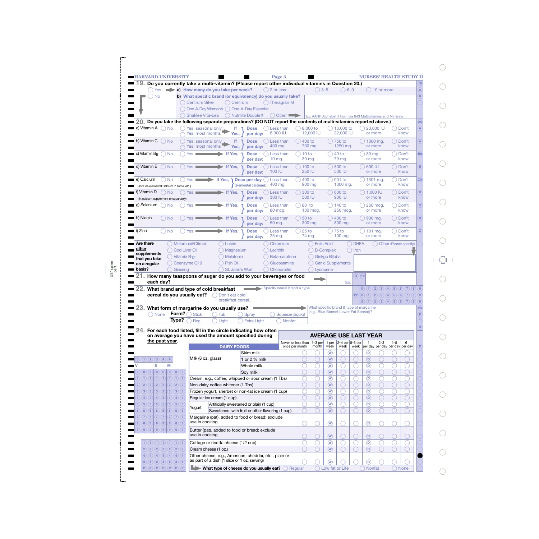| <b>HARVARD UNIVERSITY</b>                                                                                                                                                                                                                                                                                                                                                                                                                                                                                                                                                                                                                                                                                                                                  |                                 |                                     |                    |                                                  | Page 3                                                       |                     |                                                             |                                     |                           |             |                     |                  | NURSES' HEALTH STUDY II              |                                    |
|------------------------------------------------------------------------------------------------------------------------------------------------------------------------------------------------------------------------------------------------------------------------------------------------------------------------------------------------------------------------------------------------------------------------------------------------------------------------------------------------------------------------------------------------------------------------------------------------------------------------------------------------------------------------------------------------------------------------------------------------------------|---------------------------------|-------------------------------------|--------------------|--------------------------------------------------|--------------------------------------------------------------|---------------------|-------------------------------------------------------------|-------------------------------------|---------------------------|-------------|---------------------|------------------|--------------------------------------|------------------------------------|
| 19. Do you currently take a multi-vitamin? (Please report other individual vitamins in Question 20.)                                                                                                                                                                                                                                                                                                                                                                                                                                                                                                                                                                                                                                                       |                                 |                                     |                    |                                                  |                                                              |                     |                                                             |                                     |                           |             |                     |                  |                                      |                                    |
| Yes                                                                                                                                                                                                                                                                                                                                                                                                                                                                                                                                                                                                                                                                                                                                                        |                                 | a) How many do you take per week?   |                    |                                                  | $( ) 2$ or less                                              |                     | $\bigcirc$ 3-5                                              |                                     | $() 6-9$                  |             |                     | $( ) 10$ or more |                                      |                                    |
| <b>No</b>                                                                                                                                                                                                                                                                                                                                                                                                                                                                                                                                                                                                                                                                                                                                                  |                                 |                                     |                    |                                                  | b) What specific brand (or equivalency) do you usually take? |                     |                                                             |                                     |                           |             |                     |                  |                                      |                                    |
|                                                                                                                                                                                                                                                                                                                                                                                                                                                                                                                                                                                                                                                                                                                                                            |                                 | <b>Centrum Silver</b>               | ( ) Centrum        |                                                  | () Theragran M                                               |                     |                                                             |                                     |                           |             |                     |                  |                                      |                                    |
|                                                                                                                                                                                                                                                                                                                                                                                                                                                                                                                                                                                                                                                                                                                                                            |                                 |                                     |                    | One-A-Day Women's () One-A-Day Essential         |                                                              |                     |                                                             |                                     |                           |             |                     |                  |                                      |                                    |
|                                                                                                                                                                                                                                                                                                                                                                                                                                                                                                                                                                                                                                                                                                                                                            |                                 | Shaklee Vita-Lea                    |                    | () Nutrilite Double X                            | $\bigcirc$ Other                                             |                     | Ex: AARP Alphabet II Formula 643 Multivitamins and Minerals |                                     |                           |             |                     |                  |                                      |                                    |
| $20$ , Do you take the following separate preparations? (DO NOT report the contents of multi-vitamins reported above.)                                                                                                                                                                                                                                                                                                                                                                                                                                                                                                                                                                                                                                     |                                 |                                     |                    |                                                  |                                                              |                     |                                                             |                                     |                           |             |                     |                  |                                      |                                    |
| a) Vitamin A<br>$()$ No                                                                                                                                                                                                                                                                                                                                                                                                                                                                                                                                                                                                                                                                                                                                    |                                 | Yes, seasonal only                  | lf.                | <b>Dose</b>                                      | () Less than                                                 | $\bigcirc$ 8.000 to |                                                             |                                     | $( ) 13,000$ to           |             | $( ) 23,000$ IU     |                  | $\Box$                               | Don't                              |
|                                                                                                                                                                                                                                                                                                                                                                                                                                                                                                                                                                                                                                                                                                                                                            |                                 | Yes, most months                    | Yes,               | per day:                                         | 8,000 IU                                                     |                     | 12,000 IU                                                   |                                     | 22,000 IU                 |             | or more             |                  |                                      | know                               |
| b) Vitamin $C \cap N_0$                                                                                                                                                                                                                                                                                                                                                                                                                                                                                                                                                                                                                                                                                                                                    |                                 | Yes, seasonal only                  | lf.                | <b>Dose</b>                                      | Less than                                                    | $(400)$ to          |                                                             |                                     | $\big)$ 750 to            |             | $($ ) 1300 mg.      |                  |                                      | Don't                              |
|                                                                                                                                                                                                                                                                                                                                                                                                                                                                                                                                                                                                                                                                                                                                                            |                                 | Yes, most months                    | Yes,               | per day:                                         | 400 mg.                                                      |                     | 700 mg.                                                     |                                     | 1250 mg.                  |             | or more             |                  |                                      | know                               |
| c) Vitamin $B_6$ $\bigcap$ No                                                                                                                                                                                                                                                                                                                                                                                                                                                                                                                                                                                                                                                                                                                              | Yes:                            |                                     | If Yes,            | <b>Dose</b>                                      | Less than                                                    | 10 to               |                                                             |                                     | 40 to                     |             | 80 mg.              |                  |                                      | Don't                              |
|                                                                                                                                                                                                                                                                                                                                                                                                                                                                                                                                                                                                                                                                                                                                                            |                                 |                                     |                    | per day:                                         | $10 \text{ mg}$ .                                            | 39 mg.              |                                                             |                                     | 79 mg.                    |             | or more             |                  |                                      | know                               |
| d) Vitamin E<br>$()$ No                                                                                                                                                                                                                                                                                                                                                                                                                                                                                                                                                                                                                                                                                                                                    | Yes                             |                                     | If Yes,            | <b>Dose</b>                                      | Less than                                                    | ( ) 100 to          |                                                             |                                     | 300 to                    |             | $\bigcirc$ 600 IU   |                  |                                      | Don't                              |
|                                                                                                                                                                                                                                                                                                                                                                                                                                                                                                                                                                                                                                                                                                                                                            |                                 |                                     |                    | per day:                                         | 100 IU                                                       | <b>250 IU</b>       |                                                             |                                     | 500 IU                    |             | or more             |                  |                                      | know                               |
| e) Calcium<br>◯ No                                                                                                                                                                                                                                                                                                                                                                                                                                                                                                                                                                                                                                                                                                                                         | Yes                             |                                     | If Yes,            | <b>Dose per dav</b>                              | Less than                                                    | 400 to              |                                                             |                                     | 901 to                    |             | 1301 mg.            |                  |                                      | Don't                              |
| (Include elemental Calcium in Tums, etc.)                                                                                                                                                                                                                                                                                                                                                                                                                                                                                                                                                                                                                                                                                                                  |                                 |                                     |                    | (elemental calcium):                             | 400 mg.                                                      |                     | 900 mg.                                                     |                                     | 1300 mg.                  |             | or more             |                  |                                      | know                               |
| f) Vitamin D<br>$\bigcirc$ No                                                                                                                                                                                                                                                                                                                                                                                                                                                                                                                                                                                                                                                                                                                              | Yes                             |                                     | If Yes,            | <b>Dose</b>                                      | Less than                                                    | 300 to              |                                                             |                                     | 600 to                    |             | $\bigcirc$ 1.000 IU |                  |                                      | Don't                              |
| (In calcium supplement or separately)                                                                                                                                                                                                                                                                                                                                                                                                                                                                                                                                                                                                                                                                                                                      |                                 |                                     |                    | per dav:                                         | 300 IU                                                       | 500 IU              |                                                             |                                     | 900 IU                    |             | or more             |                  |                                      | know                               |
| g) Selenium<br><b>No</b>                                                                                                                                                                                                                                                                                                                                                                                                                                                                                                                                                                                                                                                                                                                                   | Yes $\blacksquare$              |                                     | If Yes,            | <b>Dose</b>                                      | Less than                                                    | 80 to               |                                                             |                                     | 140 to                    |             | 260 mcg.            |                  |                                      | Don't                              |
|                                                                                                                                                                                                                                                                                                                                                                                                                                                                                                                                                                                                                                                                                                                                                            |                                 |                                     |                    | per day:                                         | 80 mcg.                                                      |                     | 130 mcg.                                                    |                                     | 250 mcg.                  |             | or more             |                  |                                      | know                               |
| h) Niacin<br>( ) No                                                                                                                                                                                                                                                                                                                                                                                                                                                                                                                                                                                                                                                                                                                                        | Yes                             |                                     | If Yes.            | <b>Dose</b>                                      | Less than                                                    | 50 to               |                                                             |                                     | 400 to                    |             |                     |                  |                                      | Don't                              |
|                                                                                                                                                                                                                                                                                                                                                                                                                                                                                                                                                                                                                                                                                                                                                            |                                 |                                     |                    | per day:                                         | 50 mg.                                                       |                     | 300 mg.                                                     |                                     | 800 mg.                   |             | 900 mg.<br>or more  |                  |                                      | know                               |
| i) Zinc                                                                                                                                                                                                                                                                                                                                                                                                                                                                                                                                                                                                                                                                                                                                                    |                                 |                                     |                    |                                                  |                                                              |                     |                                                             |                                     |                           |             |                     |                  |                                      |                                    |
| <b>No</b>                                                                                                                                                                                                                                                                                                                                                                                                                                                                                                                                                                                                                                                                                                                                                  | Yes                             |                                     | If Yes,            | <b>Dose</b><br>per day:                          | Less than<br>25 mg.                                          | $25$ to<br>74 mg.   |                                                             |                                     | 75 to<br>100 mg.          |             | 101 mg.<br>or more  |                  |                                      | Don't<br>know                      |
|                                                                                                                                                                                                                                                                                                                                                                                                                                                                                                                                                                                                                                                                                                                                                            |                                 |                                     |                    |                                                  |                                                              |                     |                                                             |                                     |                           |             |                     |                  |                                      |                                    |
| Are there<br>other                                                                                                                                                                                                                                                                                                                                                                                                                                                                                                                                                                                                                                                                                                                                         | O Metamucil/Citrucil            |                                     | Lutein             |                                                  | Chromium                                                     |                     | <b>Folic Acid</b>                                           |                                     |                           | <b>DHEA</b> |                     |                  |                                      | Other (Please specify)             |
| supplements                                                                                                                                                                                                                                                                                                                                                                                                                                                                                                                                                                                                                                                                                                                                                | () Cod Liver Oil                |                                     | Magnesium          |                                                  | ) Lecithin                                                   |                     |                                                             | <b>B-Complex</b>                    | $($ )                     | Iron        |                     |                  |                                      |                                    |
| that you take                                                                                                                                                                                                                                                                                                                                                                                                                                                                                                                                                                                                                                                                                                                                              | $()$ Vitamin B <sub>12</sub>    |                                     | Melatonin          |                                                  | Beta-carotene                                                |                     |                                                             | Ginkgo Biloba                       |                           |             |                     |                  |                                      |                                    |
|                                                                                                                                                                                                                                                                                                                                                                                                                                                                                                                                                                                                                                                                                                                                                            |                                 |                                     |                    |                                                  |                                                              |                     |                                                             |                                     |                           |             |                     |                  |                                      |                                    |
|                                                                                                                                                                                                                                                                                                                                                                                                                                                                                                                                                                                                                                                                                                                                                            | () Coenzyme Q10                 |                                     | <b>Fish Oil</b>    |                                                  | Glucosamine                                                  |                     |                                                             |                                     | <b>Garlic Supplements</b> |             |                     |                  |                                      |                                    |
|                                                                                                                                                                                                                                                                                                                                                                                                                                                                                                                                                                                                                                                                                                                                                            | Cinseng                         |                                     | St. John's Wort    |                                                  | Chondroitin                                                  |                     | Lycopene                                                    |                                     |                           |             |                     |                  |                                      |                                    |
| on a regular<br>basis?<br>How many teaspoons of sugar do you add to your beverages or food                                                                                                                                                                                                                                                                                                                                                                                                                                                                                                                                                                                                                                                                 |                                 |                                     |                    |                                                  |                                                              |                     |                                                             |                                     |                           | O(21)       |                     |                  |                                      |                                    |
| each day?                                                                                                                                                                                                                                                                                                                                                                                                                                                                                                                                                                                                                                                                                                                                                  |                                 |                                     |                    |                                                  |                                                              |                     |                                                             |                                     | tsp.                      |             |                     |                  |                                      |                                    |
| What brand and type of cold breakfast                                                                                                                                                                                                                                                                                                                                                                                                                                                                                                                                                                                                                                                                                                                      |                                 |                                     |                    |                                                  | Specify cereal brand & type                                  |                     |                                                             |                                     |                           |             |                     |                  |                                      | (0)(1)(2)(3)(4)(5)(6)(7)(8)(9)     |
| cereal do you usually eat?                                                                                                                                                                                                                                                                                                                                                                                                                                                                                                                                                                                                                                                                                                                                 |                                 |                                     | Don't eat cold     |                                                  |                                                              |                     |                                                             |                                     |                           |             |                     |                  |                                      | (22)(0)(1)(2)(3)(4)(5)(6)(7)(8)(9) |
|                                                                                                                                                                                                                                                                                                                                                                                                                                                                                                                                                                                                                                                                                                                                                            |                                 |                                     | breakfast cereal.  |                                                  |                                                              |                     |                                                             |                                     |                           |             |                     |                  |                                      | (0)(1)(2)(3)(4)(5)(6)(7)(8)(9)     |
|                                                                                                                                                                                                                                                                                                                                                                                                                                                                                                                                                                                                                                                                                                                                                            |                                 |                                     |                    |                                                  |                                                              |                     | What specific brand & type of margarine                     |                                     |                           |             |                     |                  |                                      |                                    |
| () None                                                                                                                                                                                                                                                                                                                                                                                                                                                                                                                                                                                                                                                                                                                                                    | Form? $\subset$<br><b>Stick</b> |                                     | Tub                | Spray                                            |                                                              | Squeeze (liquid)    | (e.g., Blue Bonnet Lower Fat Spread)?                       |                                     |                           |             |                     |                  |                                      |                                    |
|                                                                                                                                                                                                                                                                                                                                                                                                                                                                                                                                                                                                                                                                                                                                                            | Rea                             |                                     |                    |                                                  | <b>Nonfat</b>                                                |                     |                                                             |                                     |                           |             |                     |                  |                                      |                                    |
|                                                                                                                                                                                                                                                                                                                                                                                                                                                                                                                                                                                                                                                                                                                                                            | Type?                           |                                     | Light              | <b>Extra Light</b>                               |                                                              |                     |                                                             |                                     |                           |             |                     |                  |                                      |                                    |
| For each food listed, fill in the circle indicating how often                                                                                                                                                                                                                                                                                                                                                                                                                                                                                                                                                                                                                                                                                              |                                 |                                     |                    |                                                  |                                                              |                     |                                                             |                                     |                           |             |                     |                  |                                      |                                    |
| on average you have used the amount specified during                                                                                                                                                                                                                                                                                                                                                                                                                                                                                                                                                                                                                                                                                                       |                                 |                                     |                    |                                                  |                                                              |                     | <b>AVERAGE USE LAST YEAR</b>                                |                                     |                           |             |                     |                  |                                      |                                    |
| the past year.                                                                                                                                                                                                                                                                                                                                                                                                                                                                                                                                                                                                                                                                                                                                             |                                 |                                     |                    |                                                  |                                                              | Never, or less than | $1-3$ per<br>month                                          | 1 per<br>week                       | $2-4$ per 5-6 per<br>week |             |                     | $2 - 3$          | $4 - 5$                              | $6+$                               |
|                                                                                                                                                                                                                                                                                                                                                                                                                                                                                                                                                                                                                                                                                                                                                            |                                 |                                     | <b>DAIRY FOODS</b> |                                                  |                                                              | once per month      |                                                             |                                     |                           |             |                     |                  | week per day per day per day per day |                                    |
|                                                                                                                                                                                                                                                                                                                                                                                                                                                                                                                                                                                                                                                                                                                                                            |                                 |                                     |                    | Skim milk                                        |                                                              |                     |                                                             | $\left(\mathsf{W}\right)$           |                           |             | $^\copyright$       |                  |                                      |                                    |
|                                                                                                                                                                                                                                                                                                                                                                                                                                                                                                                                                                                                                                                                                                                                                            |                                 | Milk (8 oz. glass)                  |                    | 1 or 2 % milk                                    |                                                              |                     |                                                             | $\omega$                            |                           |             | $\circledcirc$      |                  |                                      |                                    |
| s<br>M                                                                                                                                                                                                                                                                                                                                                                                                                                                                                                                                                                                                                                                                                                                                                     |                                 |                                     |                    | Whole milk                                       |                                                              |                     |                                                             | $\circledR$                         |                           |             | $\circledcirc$      |                  |                                      |                                    |
| $\left( \mathbf{0}\right)$ $\left( \mathbf{0}\right)$<br>$\left( \mathbf{0}\right) \left( \mathbf{0}\right) \left( \mathbf{0}\right)$                                                                                                                                                                                                                                                                                                                                                                                                                                                                                                                                                                                                                      |                                 |                                     |                    | Soy milk                                         |                                                              |                     |                                                             | $\left(\widehat{\mathsf{W}}\right)$ |                           |             | $\circledcirc$      |                  |                                      |                                    |
| (1)(1)<br>(1)(1)<br>(1)(1)(1)                                                                                                                                                                                                                                                                                                                                                                                                                                                                                                                                                                                                                                                                                                                              |                                 |                                     |                    |                                                  | Cream, e.g., coffee, whipped or sour cream (1 Tbs)           |                     |                                                             | $\circledR$                         |                           |             | $\circledcirc$      |                  |                                      |                                    |
| (2)(2)<br>(2)(2)(2)<br>(2)<br>(2)                                                                                                                                                                                                                                                                                                                                                                                                                                                                                                                                                                                                                                                                                                                          |                                 | Non-dairy coffee whitener (1 Tbs)   |                    |                                                  |                                                              |                     |                                                             | $\left(\widehat{\mathsf{W}}\right)$ |                           |             | $\circledcirc$      |                  |                                      |                                    |
| $\left( 3\right)$<br>(3)(3)<br>$\left( 3\right)$<br>(3)(3)(3)                                                                                                                                                                                                                                                                                                                                                                                                                                                                                                                                                                                                                                                                                              |                                 |                                     |                    |                                                  | Frozen yogurt, sherbet or non-fat ice cream (1 cup)          |                     |                                                             | $\circledR$                         |                           |             | $\circledcirc$      |                  |                                      |                                    |
| $\left(4\right)\left(4\right)$<br>(4)<br>(4)(4)(4)<br>(4)                                                                                                                                                                                                                                                                                                                                                                                                                                                                                                                                                                                                                                                                                                  |                                 | Regular ice cream (1 cup)           |                    |                                                  |                                                              |                     |                                                             | $\omega$                            |                           |             | $\circledcirc$      |                  |                                      |                                    |
| (5)(5)<br>(5)<br>(5)<br>(5)(5)(5)                                                                                                                                                                                                                                                                                                                                                                                                                                                                                                                                                                                                                                                                                                                          |                                 |                                     |                    | Artificially sweetened or plain (1 cup)          |                                                              |                     |                                                             | $\circledR$                         |                           |             | $\circledcirc$      |                  |                                      |                                    |
| (6)(6)<br>(6)(6)(6)<br>(6)<br>(6)                                                                                                                                                                                                                                                                                                                                                                                                                                                                                                                                                                                                                                                                                                                          | Yogurt                          |                                     |                    |                                                  | Sweetened-with fruit or other flavoring (1 cup)              |                     |                                                             | $\circled{w}$                       |                           |             | $\circled{D}$       |                  |                                      |                                    |
| (7)(7)<br>(7)(7)<br>(7)(7)(7)                                                                                                                                                                                                                                                                                                                                                                                                                                                                                                                                                                                                                                                                                                                              |                                 |                                     |                    | Margarine (pat), added to food or bread; exclude |                                                              |                     |                                                             |                                     |                           |             |                     |                  |                                      |                                    |
|                                                                                                                                                                                                                                                                                                                                                                                                                                                                                                                                                                                                                                                                                                                                                            |                                 | use in cooking                      |                    |                                                  |                                                              |                     |                                                             |                                     |                           |             |                     |                  |                                      |                                    |
| (8)(8)(8)<br>(8)(8)(8)<br>(8)                                                                                                                                                                                                                                                                                                                                                                                                                                                                                                                                                                                                                                                                                                                              |                                 |                                     |                    |                                                  |                                                              |                     |                                                             | $\circled{w}$                       |                           |             | $\circledcirc$      |                  |                                      |                                    |
| 23. What form of margarine do you usually use?<br>24.<br>(0)(1)(2)(3)(4)(9)<br>$\left( 0\right) \left( 0\right)$<br>$\overline{2}$<br>3<br>$5\phantom{.0}$<br>$6\phantom{a}$<br>8<br>$\left( \left. \begin{matrix} 9 \end{matrix} \right) \left( \left. \begin{matrix} 9 \end{matrix} \right) \left( \begin{matrix} 9 \end{matrix} \right) \left( \begin{matrix} 9 \end{matrix} \right) \left( \begin{matrix} 9 \end{matrix} \right) \left( \begin{matrix} 9 \end{matrix} \right) \left( \begin{matrix} 9 \end{matrix} \right) \left( \begin{matrix} 9 \end{matrix} \right) \left( \begin{matrix} 9 \end{matrix} \right) \left( \begin{matrix} 9 \end{matrix} \right) \left( \begin{matrix} 9 \end{matrix} \right) \left( \begin{matrix} 9 \end{matrix} \$ |                                 |                                     |                    | Butter (pat), added to food or bread; exclude    |                                                              |                     |                                                             |                                     |                           |             |                     |                  |                                      |                                    |
|                                                                                                                                                                                                                                                                                                                                                                                                                                                                                                                                                                                                                                                                                                                                                            |                                 | use in cooking                      |                    |                                                  |                                                              |                     |                                                             | $\circledR$                         |                           |             | $\circled{D}$       |                  |                                      |                                    |
| $1)$ $1)$ $1)$ $1)$ $1)$ $1)$ $1)$                                                                                                                                                                                                                                                                                                                                                                                                                                                                                                                                                                                                                                                                                                                         |                                 | Cottage or ricotta cheese (1/2 cup) |                    |                                                  |                                                              |                     |                                                             | $\circledR$                         |                           |             | $\circledcirc$      |                  |                                      |                                    |
| (2)(2)(2)(2)(2)(2)(2)                                                                                                                                                                                                                                                                                                                                                                                                                                                                                                                                                                                                                                                                                                                                      |                                 | Cream cheese (1 oz.)                |                    |                                                  |                                                              |                     |                                                             | $\omega$                            |                           |             | $\circled{D}$       |                  |                                      |                                    |
| (4)(4)(4)(4)(4)(4)(4)                                                                                                                                                                                                                                                                                                                                                                                                                                                                                                                                                                                                                                                                                                                                      |                                 |                                     |                    |                                                  | Other cheese, e.g., American, cheddar, etc., plain or        |                     |                                                             |                                     |                           |             |                     |                  |                                      |                                    |
| (8)(8)(8)(8)(8)(8)(8)                                                                                                                                                                                                                                                                                                                                                                                                                                                                                                                                                                                                                                                                                                                                      |                                 |                                     |                    | as part of a dish (1 slice or 1 oz. serving)     |                                                              |                     |                                                             | $\binom{1}{N}$                      |                           |             | $\circledcirc$      |                  |                                      |                                    |

 $\bigcirc$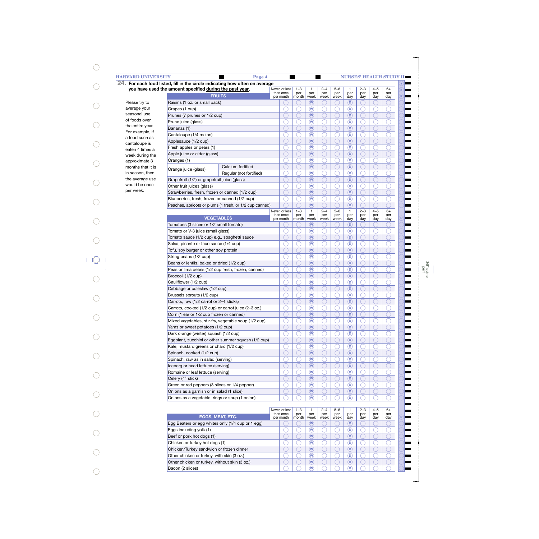| you have used the amount specified during the past year.                                             | 24. For each food listed, fill in the circle indicating how often on average | Never, or less<br>than once              | $1 - 3$<br>per | $\mathbf{1}$<br>per                 | $2 - 4$<br>per | $5 - 6$<br>per | $\mathbf{1}$<br>per        | $2 - 3$<br>per | $4 - 5$<br>per | $6+$<br>per |
|------------------------------------------------------------------------------------------------------|------------------------------------------------------------------------------|------------------------------------------|----------------|-------------------------------------|----------------|----------------|----------------------------|----------------|----------------|-------------|
| <b>FRUITS</b>                                                                                        |                                                                              | per month                                | month          | week                                | week           | week           | day                        | day            | day            | day         |
| Please try to<br>Raisins (1 oz. or small pack)                                                       |                                                                              |                                          |                | (W)                                 |                |                | $\overline{(\mathsf{D})}$  |                |                |             |
| Grapes (1 cup)                                                                                       |                                                                              |                                          |                | $\widehat{(\mathsf{W})}$            |                |                | $\sqrt{D}$                 |                |                |             |
| Prunes (7 prunes or 1/2 cup)                                                                         |                                                                              |                                          |                | $\left(\widehat{\mathsf{W}}\right)$ |                |                | $\sqrt{D}$                 |                |                |             |
| Prune juice (glass)                                                                                  |                                                                              |                                          |                | $\widehat{(\mathsf{W})}$            |                |                | $\circ$                    |                |                |             |
| Bananas (1)                                                                                          |                                                                              |                                          |                | $\left(\widehat{\mathsf{W}}\right)$ |                |                | $\sqrt{D}$                 |                |                |             |
| For example, if<br>Cantaloupe (1/4 melon)<br>a food such as<br>Applesauce (1/2 cup)<br>cantaloupe is |                                                                              |                                          |                | $\widehat{(\mathsf{W})}$            |                |                | $\sqrt{D}$                 |                |                |             |
|                                                                                                      |                                                                              |                                          |                | $\left(\widehat{\mathsf{W}}\right)$ |                |                | $\sqrt{D}$                 |                |                |             |
| Fresh apples or pears (1)                                                                            |                                                                              |                                          |                | $\widehat{(\mathsf{W})}$            |                |                | $\circ$                    |                |                |             |
| Apple juice or cider (glass)                                                                         |                                                                              |                                          |                | $\left(\widehat{\mathsf{W}}\right)$ |                |                | $\sqrt{D}$                 |                |                |             |
| Oranges (1)                                                                                          |                                                                              |                                          |                | $\widehat{(\mathsf{W})}$            |                |                | $\circ$                    |                |                |             |
|                                                                                                      | Calcium fortified                                                            |                                          |                | $\left(\widehat{\mathsf{W}}\right)$ |                |                | $\sqrt{D}$                 |                |                |             |
| Orange juice (glass)                                                                                 | Regular (not fortified)                                                      |                                          |                | $\widehat{(\mathsf{W})}$            |                |                | $\circ$                    |                |                |             |
| Grapefruit (1/2) or grapefruit juice (glass)                                                         |                                                                              |                                          |                | $\left(\widehat{\mathsf{W}}\right)$ |                |                | $\sqrt{D}$                 |                |                |             |
|                                                                                                      |                                                                              |                                          |                | $\widehat{(\mathsf{W})}$            |                |                | $\circ$                    |                |                |             |
| Other fruit juices (glass)                                                                           |                                                                              |                                          |                | $\left(\widehat{\mathsf{W}}\right)$ |                |                | $\sqrt{D}$                 |                |                |             |
| Strawberries, fresh, frozen or canned (1/2 cup)                                                      |                                                                              |                                          |                |                                     |                |                |                            |                |                |             |
| Blueberries, fresh, frozen or canned (1/2 cup)                                                       |                                                                              |                                          |                | $\widehat{(\mathsf{W})}$            |                |                | $\circ$                    |                |                |             |
|                                                                                                      | Peaches, apricots or plums (1 fresh, or 1/2 cup canned)                      |                                          | $1 - 3$        | $\left(\widehat{\mathsf{W}}\right)$ | $2 - 4$        | $5 - 6$        | $\sqrt{D}$<br>$\mathbf{1}$ | $2 - 3$        | $4 - 5$        | $6+$        |
| <b>VEGETABLES</b>                                                                                    |                                                                              | Never, or less<br>than once<br>per month | per<br>month   | $\mathbf{1}$<br>per<br>week         | per<br>week    | per<br>week    | per<br>day                 | per<br>day     | per<br>day     | per<br>day  |
| Tomatoes (3 slices or 1/2 small tomato)                                                              |                                                                              |                                          |                | (w)                                 |                |                | $\overline{(\mathsf{D})}$  |                |                |             |
| Tomato or V-8 juice (small glass)                                                                    |                                                                              |                                          |                | $\widehat{(\mathsf{W})}$            |                |                | $\circ$                    |                |                |             |
| Tomato sauce (1/2 cup) e.g., spaghetti sauce                                                         |                                                                              |                                          |                | $\left(\widehat{\mathsf{W}}\right)$ |                |                | $\sqrt{D}$                 |                |                |             |
| Salsa, picante or taco sauce (1/4 cup)                                                               |                                                                              |                                          |                | $\widehat{(\mathsf{W})}$            |                |                | $\circ$                    |                |                |             |
| Tofu, soy burger or other soy protein                                                                |                                                                              |                                          |                | $\left(\widehat{\mathsf{W}}\right)$ |                |                | $\sqrt{D}$                 |                |                |             |
| String beans (1/2 cup)                                                                               |                                                                              |                                          |                | $\widehat{(\mathsf{W})}$            |                |                | $\circ$                    |                |                |             |
| Beans or lentils, baked or dried (1/2 cup)                                                           |                                                                              |                                          |                | $\left(\widehat{\mathsf{W}}\right)$ |                |                | $\sqrt{D}$                 |                |                |             |
|                                                                                                      |                                                                              |                                          |                | $\circledR$                         |                |                |                            |                |                |             |
| Peas or lima beans (1/2 cup fresh, frozen, canned)                                                   |                                                                              |                                          |                |                                     |                |                | $\circ$                    |                |                |             |
| Broccoli (1/2 cup)                                                                                   |                                                                              |                                          |                | $\left(\widehat{\mathsf{W}}\right)$ |                |                | $\sqrt{D}$                 |                |                |             |
| Cauliflower (1/2 cup)                                                                                |                                                                              |                                          |                | $\widehat{(\mathsf{W})}$            |                |                | $\circ$                    |                |                |             |
| Cabbage or coleslaw (1/2 cup)                                                                        |                                                                              |                                          |                | $\left(\widehat{\mathsf{W}}\right)$ |                |                | $\sqrt{D}$                 |                |                |             |
| Brussels sprouts (1/2 cup)                                                                           |                                                                              |                                          |                | $\circledR$                         |                |                | $\circ$                    |                |                |             |
| Carrots, raw (1/2 carrot or 2-4 sticks)                                                              |                                                                              |                                          |                | $\left(\widehat{\mathsf{W}}\right)$ |                |                | $\sqrt{D}$                 |                |                |             |
| Carrots, cooked (1/2 cup) or carrot juice (2-3 oz.)                                                  |                                                                              |                                          |                | $\circledast$                       |                |                | டு                         |                |                |             |
| Corn (1 ear or 1/2 cup frozen or canned)                                                             |                                                                              |                                          |                | (w)                                 |                |                | $\left(\mathsf{D}\right)$  |                |                |             |
| Mixed vegetables, stir-fry, vegetable soup (1/2 cup)                                                 |                                                                              |                                          |                | (w)                                 |                |                | $\circledcirc$             |                |                |             |
| Yams or sweet potatoes (1/2 cup)                                                                     |                                                                              |                                          |                | (W)                                 |                |                | $\left( \mathsf{D}\right)$ |                |                |             |
| Dark orange (winter) squash (1/2 cup)                                                                |                                                                              |                                          |                | $\left(\overline{W}\right)$         |                |                | $\circledcirc$             |                |                |             |
| Eggplant, zucchini or other summer squash (1/2 cup)                                                  |                                                                              |                                          |                | (W)                                 |                |                | $\left( \mathsf{D}\right)$ |                |                |             |
| Kale, mustard greens or chard (1/2 cup)                                                              |                                                                              |                                          |                | $\left(\mathsf{w}\right)$           |                |                | $\left( $                  |                |                |             |
| Spinach, cooked (1/2 cup)                                                                            |                                                                              |                                          |                | (W)                                 |                |                | $\left( \mathsf{D}\right)$ |                |                |             |
| Spinach, raw as in salad (serving)                                                                   |                                                                              |                                          |                | $\left(\overline{W}\right)$         |                |                | $\left( $                  |                |                |             |
| Iceberg or head lettuce (serving)                                                                    |                                                                              |                                          |                | $(w)$                               |                |                | $\left( \mathsf{D}\right)$ |                |                |             |
| Romaine or leaf lettuce (serving)                                                                    |                                                                              |                                          |                | $\left(\mathsf{w}\right)$           |                |                | $\left( $                  |                |                |             |
| Celery (4" stick)                                                                                    |                                                                              |                                          |                | $(w)$                               |                |                | $\left( \mathsf{D}\right)$ |                |                |             |
| Green or red peppers (3 slices or 1/4 pepper)                                                        |                                                                              |                                          |                | $\left(\overline{W}\right)$         |                |                | $\left( $                  |                |                |             |
|                                                                                                      |                                                                              |                                          |                | (W)                                 |                |                | $\left( \mathsf{D}\right)$ |                |                |             |
|                                                                                                      | Onions as a garnish or in salad (1 slice)                                    |                                          |                |                                     |                |                |                            |                |                |             |
| Onions as a vegetable, rings or soup (1 onion)                                                       |                                                                              |                                          |                | $\left(\mathsf{W}\right)$           |                |                | $\overline{(\mathsf{D})}$  |                |                |             |
|                                                                                                      |                                                                              | Never, or less<br>than once              | $1 - 3$<br>per | 1<br>per                            | $2 - 4$<br>per | $5 - 6$<br>per | $\mathbf{1}$<br>per        | $2 - 3$<br>per | $4 - 5$<br>per | 6+<br>per   |
| EGGS, MEAT, ETC.                                                                                     |                                                                              | per month                                | month          | week                                | week           | week           | day                        | day            | day            | day         |
| Egg Beaters or egg whites only (1/4 cup or 1 egg)                                                    |                                                                              |                                          |                | (W)                                 |                |                | (D)                        |                |                |             |
| Eggs including yolk (1)                                                                              |                                                                              |                                          |                | $\omega$                            |                |                | $\circledcirc$             |                |                |             |
| Beef or pork hot dogs (1)                                                                            |                                                                              |                                          |                | $(w)$                               |                |                | $\left( \mathsf{D}\right)$ |                |                |             |
| Chicken or turkey hot dogs (1)                                                                       |                                                                              |                                          |                | $\left(\mathsf{w}\right)$           |                |                | $\circledcirc$             |                |                |             |
|                                                                                                      | Chicken/Turkey sandwich or frozen dinner                                     |                                          |                | $\left(\mathbf{W}\right)$           |                |                | $\sqrt{D}$                 |                |                |             |

**W W W**

 $\bigcirc$ 

 $\bigcirc$ 

◯

 $\bigcirc$ 

0

**D D D**

C

0

○

 $\bigcirc$ 

C

Other chicken or turkey, with skin (3 oz.) Other chicken or turkey, without skin (3 oz.)

Bacon (2 slices)

 $\bigcirc$ 

 $\bigcirc$ 

 $\bigcirc$ 

 $\bigcirc$ 

 $\bigcirc$ 

3/8" spine perf

┝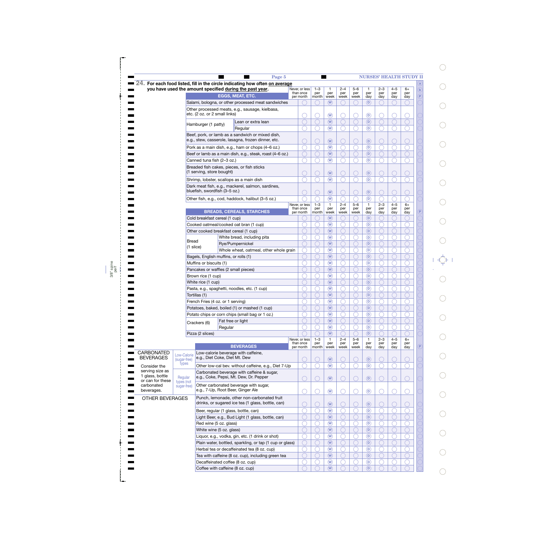|                                                        |                           |                               | 24. For each food listed, fill in the circle indicating how often on average<br>you have used the amount specified during the past year. | Never, or less              | $1 - 3$      | $\mathbf{1}$                  | $2 - 4$     | $5 - 6$     | $\mathbf{1}$                      | $2 - 3$    | $4 - 5$    | $6+$        |                  |
|--------------------------------------------------------|---------------------------|-------------------------------|------------------------------------------------------------------------------------------------------------------------------------------|-----------------------------|--------------|-------------------------------|-------------|-------------|-----------------------------------|------------|------------|-------------|------------------|
|                                                        |                           |                               | EGGS, MEAT, ETC.                                                                                                                         | than once<br>per month      | per<br>month | per<br>week                   | per         | per         | per                               | per        | per        | per         | $\mathbf b$<br>P |
|                                                        |                           |                               | Salami, bologna, or other processed meat sandwiches                                                                                      |                             |              | (W)                           | week        | week        | day<br>$\left( \mathsf{D}\right)$ | day        | day        | day         |                  |
|                                                        |                           |                               | Other processed meats, e.g., sausage, kielbasa,                                                                                          |                             |              |                               |             |             |                                   |            |            |             |                  |
|                                                        |                           | etc. (2 oz. or 2 small links) |                                                                                                                                          |                             |              | $\circledR$                   |             |             | $^{\circ}$                        |            |            |             |                  |
|                                                        |                           | Hamburger (1 patty)           | Lean or extra lean                                                                                                                       |                             |              | $\circledR$                   |             |             | $\circled{D}$                     |            |            |             |                  |
|                                                        |                           |                               | Regular                                                                                                                                  |                             |              | $\circledR$                   |             |             | $\circledcirc$                    |            |            |             |                  |
|                                                        |                           |                               | Beef, pork, or lamb as a sandwich or mixed dish,<br>e.g., stew, casserole, lasagna, frozen dinner, etc.                                  |                             |              | $\circledR$                   |             |             | $\circledcirc$                    |            |            |             |                  |
|                                                        |                           |                               | Pork as a main dish, e.g., ham or chops (4-6 oz.)                                                                                        |                             |              | $\circledR$                   |             |             | $\circledR$                       |            |            |             |                  |
|                                                        |                           |                               | Beef or lamb as a main dish, e.g., steak, roast (4-6 oz.)                                                                                |                             |              | $\circledR$                   |             |             | $\circledR$                       |            |            |             |                  |
|                                                        |                           | Canned tuna fish (2-3 oz.)    |                                                                                                                                          |                             |              | $\circledR$                   |             |             | $\circledcirc$                    |            |            |             |                  |
|                                                        |                           | (1 serving, store bought)     | Breaded fish cakes, pieces, or fish sticks                                                                                               |                             |              | $\circledR$                   |             |             | $\circledcirc$                    |            |            |             |                  |
|                                                        |                           |                               | Shrimp, lobster, scallops as a main dish                                                                                                 |                             |              | $\circledR$                   |             |             | $\circledR$                       |            |            |             |                  |
|                                                        |                           |                               | Dark meat fish, e.g., mackerel, salmon, sardines,<br>bluefish, swordfish (3-5 oz.)                                                       |                             |              | $\circledR$                   |             |             | $\circledR$                       |            |            |             |                  |
|                                                        |                           |                               | Other fish, e.g., cod, haddock, halibut (3-5 oz.)                                                                                        |                             |              | $\circledR$                   |             |             | $\circledR$                       |            |            |             |                  |
|                                                        |                           |                               |                                                                                                                                          | Never, or less<br>than once | $1 - 3$      | $\mathbf{1}$<br>per           | $2 - 4$     | $5 - 6$     | $\mathbf{1}$                      | $2 - 3$    | $4 - 5$    | $6+$<br>per |                  |
|                                                        |                           |                               | <b>BREADS, CEREALS, STARCHES</b>                                                                                                         | per month                   | per<br>month | week                          | per<br>week | per<br>week | per<br>day                        | per<br>day | per<br>day | day         |                  |
|                                                        |                           |                               | Cold breakfast cereal (1 cup)                                                                                                            |                             |              | $\left(\mathbf{W}\right)$     |             |             | $\left( \mathsf{D}\right)$        |            |            |             |                  |
|                                                        |                           |                               | Cooked oatmeal/cooked oat bran (1 cup)                                                                                                   |                             |              | $\circledR$                   |             |             | $\circledcirc$                    |            |            |             |                  |
|                                                        |                           |                               | Other cooked breakfast cereal (1 cup)                                                                                                    |                             |              | $\binom{w}{x}$<br>$\circledR$ |             |             | $\circledR$<br>$\circledcirc$     |            |            |             |                  |
|                                                        | Bread                     |                               | White bread, including pita<br>Rye/Pumpernickel                                                                                          |                             |              | $\circledR$                   |             |             | $\circledR$                       |            |            |             |                  |
|                                                        | $(1 \text{ slice})$       |                               | Whole wheat, oatmeal, other whole grain                                                                                                  |                             |              | $^{\circledR}$                |             |             | $\circledcirc$                    |            |            |             |                  |
|                                                        |                           |                               | Bagels, English muffins, or rolls (1)                                                                                                    |                             |              | $\circledR$                   |             |             | $\circledcirc$                    |            |            |             |                  |
|                                                        |                           | Muffins or biscuits (1)       |                                                                                                                                          |                             |              | $\circledR$                   |             |             | $\circledcirc$                    |            |            |             |                  |
|                                                        |                           |                               | Pancakes or waffles (2 small pieces)                                                                                                     |                             |              | $\circledR$                   |             |             | $\circled{D}$                     |            |            |             |                  |
|                                                        |                           | Brown rice (1 cup)            |                                                                                                                                          |                             |              | $\circledR$                   |             |             | $\circledcirc$                    |            |            |             |                  |
|                                                        |                           | White rice (1 cup)            |                                                                                                                                          |                             |              | $\circledR$                   |             |             | $\circled{D}$                     |            |            |             |                  |
|                                                        |                           | Tortillas (1)                 | Pasta, e.g., spaghetti, noodles, etc. (1 cup)                                                                                            |                             |              | $\circledR$<br>$\circledR$    |             |             | $\circledcirc$<br>$\circled{D}$   |            |            |             |                  |
|                                                        |                           |                               | French Fries (4 oz. or 1 serving)                                                                                                        |                             |              | $\circledR$                   |             |             | $\odot$                           |            |            |             |                  |
|                                                        |                           |                               | Potatoes, baked, boiled (1) or mashed (1 cup)                                                                                            |                             |              | $\circledR$                   |             |             | $\circledcirc$                    |            |            |             |                  |
|                                                        |                           |                               | Potato chips or corn chips (small bag or 1 oz.)                                                                                          |                             |              | $\overline{w}$                |             |             | $\overline{\mathbb{O}}$           |            |            |             |                  |
|                                                        |                           | Crackers (6)                  | Fat free or light                                                                                                                        |                             |              | $\circledR$                   |             |             | $\circledR$                       |            |            |             |                  |
|                                                        |                           |                               | Regular                                                                                                                                  |                             |              | $\circledR$                   |             |             | $\circledcirc$                    |            |            |             |                  |
|                                                        |                           | Pizza (2 slices)              |                                                                                                                                          | Never, or less              | $1 - 3$      | $\circledR$<br>$\mathbf{1}$   | $2 - 4$     | $5 - 6$     | $\circledR$<br>$\mathbf{1}$       | $2 - 3$    | $4 - 5$    | $6+$        |                  |
|                                                        |                           |                               | <b>BEVERAGES</b>                                                                                                                         | than once<br>per month      | per<br>month | per<br>week                   | per<br>week | per<br>week | per<br>day                        | per<br>day | per<br>day | per<br>day  | $\overline{P}$   |
| <b>CARBONATED</b>                                      | Low-Calorie               |                               | Low-calorie beverage with caffeine,                                                                                                      |                             |              |                               |             |             |                                   |            |            |             |                  |
| <b>BEVERAGES</b>                                       | (sugar-free)              |                               | e.g., Diet Coke, Diet Mt. Dew                                                                                                            |                             |              | $\circledR$                   |             |             | $\odot$                           |            |            |             |                  |
| Consider the                                           | types                     |                               | Other low-cal bev. without caffeine, e.g., Diet 7-Up                                                                                     |                             |              | $\circledR$                   |             |             | $\overline{\omega}$               |            |            |             |                  |
| serving size as<br>1 glass, bottle<br>or can for these | Regular                   |                               | Carbonated beverage with caffeine & sugar,<br>e.g., Coke, Pepsi, Mt. Dew, Dr. Pepper                                                     |                             |              | $\circledR$                   |             |             | $\odot$                           |            |            |             |                  |
| carbonated<br>beverages.                               | types (not<br>sugar-free) |                               | Other carbonated beverage with sugar,<br>e.g., 7-Up, Root Beer, Ginger Ale                                                               |                             |              | $\circledR$                   |             |             | $^{\circ}$                        |            |            |             |                  |
| OTHER BEVERAGES                                        |                           |                               | Punch, lemonade, other non-carbonated fruit<br>drinks, or sugared ice tea (1 glass, bottle, can)                                         |                             |              | $\circledR$                   |             |             | $\odot$                           |            |            |             |                  |
|                                                        |                           |                               | Beer, regular (1 glass, bottle, can)                                                                                                     |                             |              | $\circledR$                   |             |             | $\circledcirc$                    |            |            |             |                  |
|                                                        |                           |                               | Light Beer, e.g., Bud Light (1 glass, bottle, can)                                                                                       |                             |              | $\circledR$                   |             |             | $\circledR$                       |            |            |             |                  |
|                                                        |                           | Red wine (5 oz. glass)        |                                                                                                                                          |                             |              | $^{\circledR}$                |             |             | $\odot$                           |            |            |             |                  |
|                                                        |                           |                               | White wine (5 oz. glass)                                                                                                                 |                             |              | $\circledR$                   |             |             | $\circledR$                       |            |            |             |                  |
|                                                        |                           |                               | Liquor, e.g., vodka, gin, etc. (1 drink or shot)                                                                                         |                             |              | $\circledR$                   |             |             | $\odot$                           |            |            |             |                  |
|                                                        |                           |                               | Plain water, bottled, sparkling, or tap (1 cup or glass)<br>Herbal tea or decaffeinated tea (8 oz. cup)                                  |                             |              | $\circledR$<br>$\circledR$    |             |             | $\circledR$<br>$\odot$            |            |            |             |                  |
|                                                        |                           |                               |                                                                                                                                          |                             |              |                               |             |             |                                   |            |            |             |                  |
|                                                        |                           |                               | Tea with caffeine (8 oz. cup), including green tea                                                                                       |                             |              | $\circledR$                   |             |             | $\circledR$                       |            |            |             |                  |

3/8" spine perf  $\bigcirc$ 

 $\bigcirc$